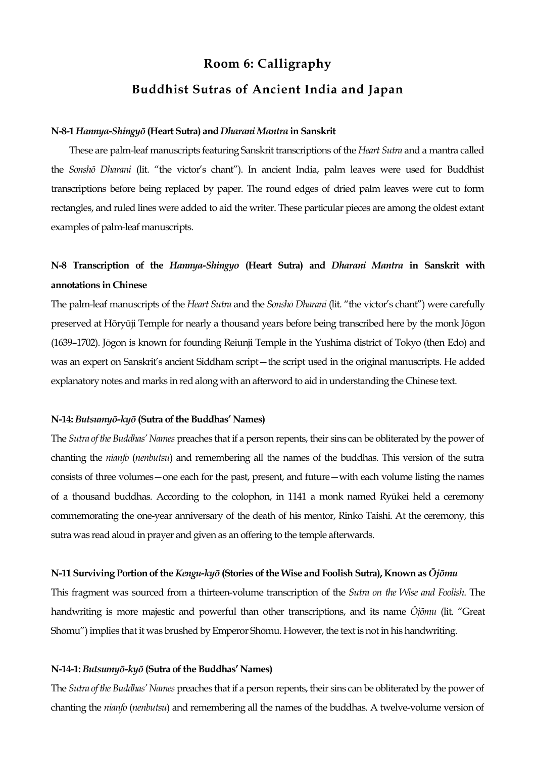# **Room 6: Calligraphy Buddhist Sutras of Ancient India and Japan**

#### **N-8-1** *Hannya-Shingyō* **(Heart Sutra) and** *Dharani Mantra* **in Sanskrit**

These are palm-leaf manuscripts featuring Sanskrit transcriptions of the *Heart Sutra* and a mantra called the *Sonshō Dharani* (lit. "the victor's chant"). In ancient India, palm leaves were used for Buddhist transcriptions before being replaced by paper. The round edges of dried palm leaves were cut to form rectangles, and ruled lines were added to aid the writer. These particular pieces are among the oldest extant examples of palm-leaf manuscripts.

# **N-8 Transcription of the** *Hannya-Shingyo* **(Heart Sutra) and** *Dharani Mantra* **in Sanskrit with annotations in Chinese**

The palm-leaf manuscripts of the *Heart Sutra* and the *Sonshō Dharani* (lit. "the victor's chant") were carefully preserved at Hōryūji Temple for nearly a thousand years before being transcribed here by the monk Jōgon (1639–1702). Jōgon is known for founding Reiunji Temple in the Yushima district of Tokyo (then Edo) and was an expert on Sanskrit's ancient Siddham script—the script used in the original manuscripts. He added explanatory notes and marks in red along with an afterword to aid in understanding the Chinese text.

## **N-14:** *Butsumyō-kyō* **(Sutra of the Buddhas' Names)**

The *Sutra of the Buddhas' Names* preaches that if a person repents, their sins can be obliterated by the power of chanting the *nianfo* (*nenbutsu*) and remembering all the names of the buddhas. This version of the sutra consists of three volumes—one each for the past, present, and future—with each volume listing the names of a thousand buddhas. According to the colophon, in 1141 a monk named Ryūkei held a ceremony commemorating the one-year anniversary of the death of his mentor, Rinkō Taishi. At the ceremony, this sutra was read aloud in prayer and given as an offering to the temple afterwards.

#### **N-11 Surviving Portion of the** *Kengu-kyō* **(Stories of the Wise and Foolish Sutra), Known as** *Ōjōmu*

This fragment was sourced from a thirteen-volume transcription of the *Sutra on the Wise and Foolish*. The handwriting is more majestic and powerful than other transcriptions, and its name *Ōjōmu* (lit. "Great Shōmu") implies that it was brushed by Emperor Shōmu. However, the text is not in his handwriting.

#### **N-14-1:** *Butsumyō-kyō* **(Sutra of the Buddhas' Names)**

The *Sutra of the Buddhas' Names* preaches that if a person repents, their sins can be obliterated by the power of chanting the *nianfo* (*nenbutsu*) and remembering all the names of the buddhas. A twelve-volume version of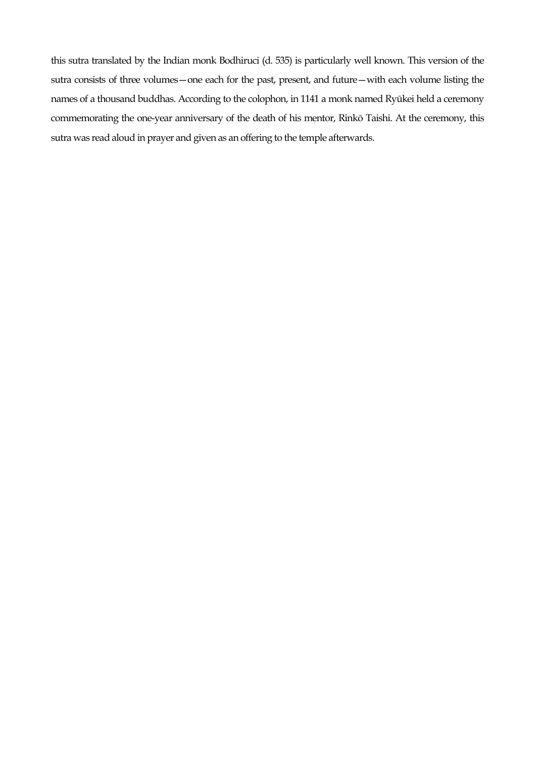this sutra translated by the Indian monk Bodhiruci (d. 535) is particularly well known. This version of the sutra consists of three volumes—one each for the past, present, and future—with each volume listing the names of a thousand buddhas. According to the colophon, in 1141 a monk named Ryūkei held a ceremony commemorating the one-year anniversary of the death of his mentor, Rinkō Taishi. At the ceremony, this sutra was read aloud in prayer and given as an offering to the temple afterwards.